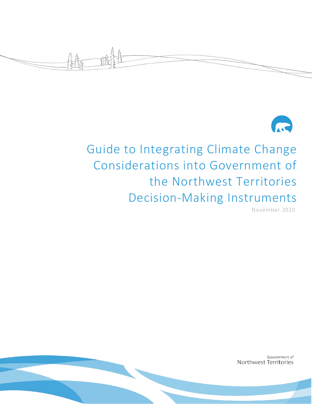



# Guide to Integrating Climate Change Considerations into Government of the Northwest Territories Decision-Making Instruments

November 2020

Government of Northwest Territories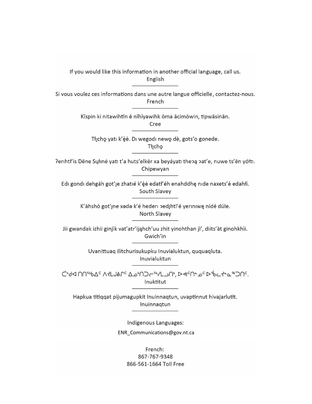If you would like this information in another official language, call us. English

Si vous voulez ces informations dans une autre langue officielle, contactez-nous. French

> Kīspin ki nitawihtīn ē nīhīyawihk ōma ācimōwin, tipwāsinān. Cree

Tłįchę yatı k'èè. Di wegodi newę dè, gots'o gonede. Thicho

Perihtł'ís Dëne Sųłiné yati t'a huts'elkër xa beyáyati thepą pat'e, nuwe ts'ën yółti. Chipewyan

Edi gondi dehgáh got' je zhatié k' éé edati' éh enahddhę nide naxets' é edahíí. South Slavey

> K'áhshó got'ıne xada k'é hederi zedihtl'é yeriniwę nídé dúle. North Slavey

Jii gwandak izhii ginjìk vat'atr'ijahch'uu zhit yinohthan jì', diits'àt ginohkhìi. Gwich'in

> Uvanittuaq ilitchurisukupku Inuvialuktun, ququaqluta. Inuvialuktun

לי6ל חחיי24 מלגבי A4 לוכ\_ולי, D<e^- מינדים מילים לי6ל מחיים כ Inuktitut

Hapkua titiqqat pijumagupkit Inuinnaqtun, uvaptinnut hivajarlutit. Inuinnagtun

Indigenous Languages:

ENR\_Communications@gov.nt.ca

French: 867-767-9348 866-561-1664 Toll Free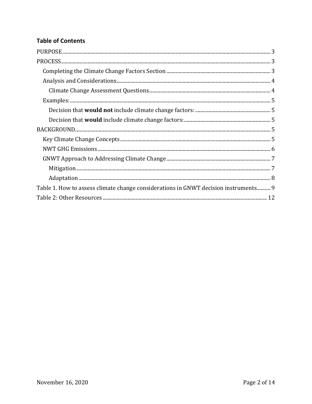# **Table of Contents**

| Table 1. How to assess climate change considerations in GNWT decision instruments 9 |  |
|-------------------------------------------------------------------------------------|--|
|                                                                                     |  |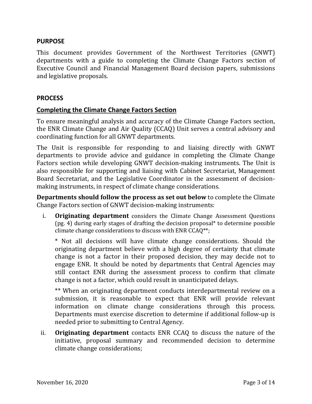#### **PURPOSE**

This document provides Government of the Northwest Territories (GNWT) departments with a guide to completing the Climate Change Factors section of Executive Council and Financial Management Board decision papers, submissions and legislative proposals.

#### **PROCESS**

#### **Completing the Climate Change Factors Section**

To ensure meaningful analysis and accuracy of the Climate Change Factors section, the ENR Climate Change and Air Quality (CCAQ) Unit serves a central advisory and coordinating function for all GNWT departments. 

The Unit is responsible for responding to and liaising directly with GNWT departments to provide advice and guidance in completing the Climate Change Factors section while developing GNWT decision‐making instruments. The Unit is also responsible for supporting and liaising with Cabinet Secretariat, Management Board Secretariat, and the Legislative Coordinator in the assessment of decision‐ making instruments, in respect of climate change considerations.

**Departments should follow the process as set out below** to complete the Climate Change Factors section of GNWT decision‐making instruments:

i. **Originating department** considers the Climate Change Assessment Questions (pg. 4) during early stages of drafting the decision proposal\* to determine possible climate change considerations to discuss with ENR CCAQ\*\*;

\* Not all decisions will have climate change considerations. Should the originating department believe with a high degree of certainty that climate change is not a factor in their proposed decision, they may decide not to engage ENR. It should be noted by departments that Central Agencies may still contact ENR during the assessment process to confirm that climate change is not a factor, which could result in unanticipated delays. 

\*\* When an originating department conducts interdepartmental review on a submission, it is reasonable to expect that ENR will provide relevant information on climate change considerations through this process. Departments must exercise discretion to determine if additional follow‐up is needed prior to submitting to Central Agency. 

ii. **Originating department** contacts ENR CCAQ to discuss the nature of the initiative, proposal summary and recommended decision to determine climate change considerations;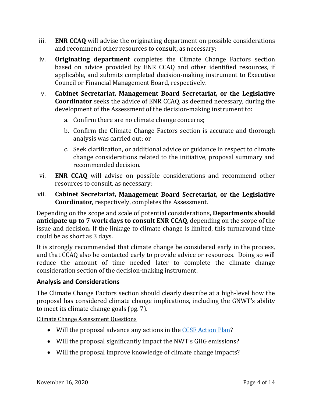- iii. **ENR CCAQ** will advise the originating department on possible considerations and recommend other resources to consult, as necessary;
- iv. **Originating department** completes the Climate Change Factors section based on advice provided by ENR CCAQ and other identified resources, if applicable, and submits completed decision‐making instrument to Executive Council or Financial Management Board, respectively.
- v. **Cabinet Secretariat, Management Board Secretariat, or the Legislative Coordinator** seeks the advice of ENR CCAQ, as deemed necessary, during the development of the Assessment of the decision‐making instrument to:
	- a. Confirm there are no climate change concerns;
	- b. Confirm the Climate Change Factors section is accurate and thorough analysis was carried out; or
	- c. Seek clarification, or additional advice or guidance in respect to climate change considerations related to the initiative, proposal summary and recommended decision.
- vi. **ENR CCAQ** will advise on possible considerations and recommend other resources to consult, as necessary;
- vii. **Cabinet Secretariat, Management Board Secretariat, or the Legislative Coordinator**, respectively, completes the Assessment.

Depending on the scope and scale of potential considerations, **Departments should anticipate up to 7 work days to consult ENR CCAQ**, depending on the scope of the issue and decision**.** If the linkage to climate change is limited, this turnaround time could be as short as 3 days.

It is strongly recommended that climate change be considered early in the process, and that CCAQ also be contacted early to provide advice or resources. Doing so will reduce the amount of time needed later to complete the climate change consideration section of the decision‐making instrument.

#### **Analysis and Considerations**

The Climate Change Factors section should clearly describe at a high‐level how the proposal has considered climate change implications, including the GNWT's ability to meet its climate change goals (pg. 7). 

Climate Change Assessment Questions

- Will the proposal advance any actions in the CCSF Action Plan?
- Will the proposal significantly impact the NWT's GHG emissions?
- Will the proposal improve knowledge of climate change impacts?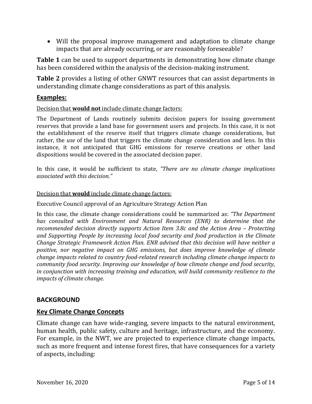Will the proposal improve management and adaptation to climate change impacts that are already occurring, or are reasonably foreseeable?

**Table 1** can be used to support departments in demonstrating how climate change has been considered within the analysis of the decision-making instrument.

**Table 2** provides a listing of other GNWT resources that can assist departments in understanding climate change considerations as part of this analysis.

## **Examples:**

#### Decision that **would not** include climate change factors:

The Department of Lands routinely submits decision papers for issuing government reserves that provide a land base for government users and projects. In this case, it is not the establishment of the reserve itself that triggers climate change considerations, but rather, the *use* of the land that triggers the climate change consideration and lens. In this instance, it not anticipated that GHG emissions for reserve creations or other land dispositions would be covered in the associated decision paper. 

In this case, it would be sufficient to state, *"There are no climate change implications associated with this decision."*

#### Decision that **would** include climate change factors:

Executive Council approval of an Agriculture Strategy Action Plan 

In this case, the climate change considerations could be summarized as: *"The Department has consulted with Environment and Natural Resources (ENR) to determine that the recommended decision directly supports Action Item 3.8c and the Action Area – Protecting and Supporting People by increasing local food security and food production in the Climate Change Strategic Framework Action Plan. ENR advised that this decision will have neither a positive, nor negative impact on GHG emissions, but does improve knowledge of climate change impacts related to country food‐related research including climate change impacts to community food security. Improving our knowledge of how climate change and food security, in conjunction with increasing training and education, will build community resilience to the impacts of climate change.*

#### **BACKGROUND**

#### **Key Climate Change Concepts**

Climate change can have wide‐ranging, severe impacts to the natural environment, human health, public safety, culture and heritage, infrastructure, and the economy. For example, in the NWT, we are projected to experience climate change impacts, such as more frequent and intense forest fires, that have consequences for a variety of aspects, including: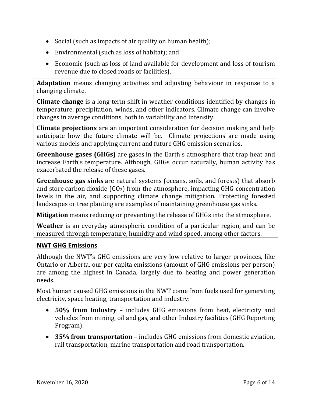- Social (such as impacts of air quality on human health);
- Environmental (such as loss of habitat); and
- Economic (such as loss of land available for development and loss of tourism revenue due to closed roads or facilities).

**Adaptation** means changing activities and adjusting behaviour in response to a changing climate.

**Climate change** is a long-term shift in weather conditions identified by changes in temperature, precipitation, winds, and other indicators. Climate change can involve changes in average conditions, both in variability and intensity. 

**Climate projections** are an important consideration for decision making and help anticipate how the future climate will be. Climate projections are made using various models and applying current and future GHG emission scenarios.

**Greenhouse gases (GHGs)** are gases in the Earth's atmosphere that trap heat and increase Earth's temperature. Although, GHGs occur naturally, human activity has exacerbated the release of these gases.

**Greenhouse gas sinks** are natural systems (oceans, soils, and forests) that absorb and store carbon dioxide  $(CO_2)$  from the atmosphere, impacting GHG concentration levels in the air, and supporting climate change mitigation. Protecting forested landscapes or tree planting are examples of maintaining greenhouse gas sinks.

**Mitigation** means reducing or preventing the release of GHGs into the atmosphere.

**Weather** is an everyday atmospheric condition of a particular region, and can be measured through temperature, humidity and wind speed, among other factors.

# **NWT GHG Emissions**

Although the NWT's GHG emissions are very low relative to larger provinces, like Ontario or Alberta, our per capita emissions (amount of GHG emissions per person) are among the highest in Canada, largely due to heating and power generation needs. 

Most human caused GHG emissions in the NWT come from fuels used for generating electricity, space heating, transportation and industry:

- **50% from Industry** includes GHG emissions from heat, electricity and vehicles from mining, oil and gas, and other Industry facilities (GHG Reporting Program).
- **35% from transportation** includes GHG emissions from domestic aviation, rail transportation, marine transportation and road transportation.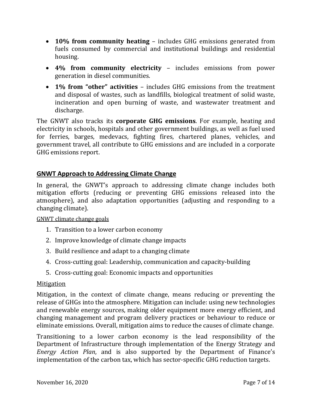- **10% from community heating** includes GHG emissions generated from fuels consumed by commercial and institutional buildings and residential housing.
- **4% from community electricity** includes emissions from power generation in diesel communities.
- **1% from "other" activities** includes GHG emissions from the treatment and disposal of wastes, such as landfills, biological treatment of solid waste, incineration and open burning of waste, and wastewater treatment and discharge.

The GNWT also tracks its **corporate GHG emissions**. For example, heating and electricity in schools, hospitals and other government buildings, as well as fuel used for ferries, barges, medevacs, fighting fires, chartered planes, vehicles, and government travel, all contribute to GHG emissions and are included in a corporate GHG emissions report. 

# **GNWT Approach to Addressing Climate Change**

In general, the GNWT's approach to addressing climate change includes both mitigation efforts (reducing or preventing GHG emissions released into the atmosphere), and also adaptation opportunities (adjusting and responding to a changing climate). 

#### GNWT climate change goals

- 1. Transition to a lower carbon economy
- 2. Improve knowledge of climate change impacts
- 3. Build resilience and adapt to a changing climate
- 4. Cross‐cutting goal: Leadership, communication and capacity‐building
- 5. Cross‐cutting goal: Economic impacts and opportunities

#### Mitigation

Mitigation, in the context of climate change, means reducing or preventing the release of GHGs into the atmosphere. Mitigation can include: using new technologies and renewable energy sources, making older equipment more energy efficient, and changing management and program delivery practices or behaviour to reduce or eliminate emissions. Overall, mitigation aims to reduce the causes of climate change.

Transitioning to a lower carbon economy is the lead responsibility of the Department of Infrastructure through implementation of the Energy Strategy and *Energy Action Plan*, and is also supported by the Department of Finance's implementation of the carbon tax, which has sector-specific GHG reduction targets.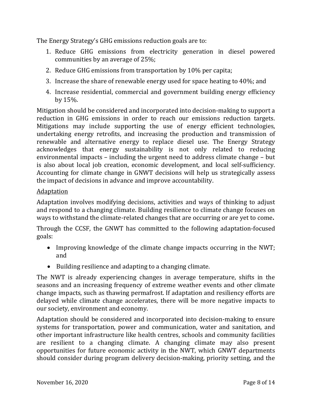The Energy Strategy's GHG emissions reduction goals are to:

- 1. Reduce GHG emissions from electricity generation in diesel powered communities by an average of 25%;
- 2. Reduce GHG emissions from transportation by 10% per capita;
- 3. Increase the share of renewable energy used for space heating to 40%; and
- 4. Increase residential, commercial and government building energy efficiency by 15%.

Mitigation should be considered and incorporated into decision‐making to support a reduction in GHG emissions in order to reach our emissions reduction targets. Mitigations may include supporting the use of energy efficient technologies, undertaking energy retrofits, and increasing the production and transmission of renewable and alternative energy to replace diesel use. The Energy Strategy acknowledges that energy sustainability is not only related to reducing environmental impacts – including the urgent need to address climate change – but is also about local job creation, economic development, and local self‐sufficiency. Accounting for climate change in GNWT decisions will help us strategically assess the impact of decisions in advance and improve accountability.

## **Adaptation**

Adaptation involves modifying decisions, activities and ways of thinking to adjust and respond to a changing climate. Building resilience to climate change focuses on ways to withstand the climate-related changes that are occurring or are yet to come.

Through the CCSF, the GNWT has committed to the following adaptation‐focused goals:

- Improving knowledge of the climate change impacts occurring in the NWT; and
- Building resilience and adapting to a changing climate.

The NWT is already experiencing changes in average temperature, shifts in the seasons and an increasing frequency of extreme weather events and other climate change impacts, such as thawing permafrost. If adaptation and resiliency efforts are delayed while climate change accelerates, there will be more negative impacts to our society, environment and economy. 

Adaptation should be considered and incorporated into decision‐making to ensure systems for transportation, power and communication, water and sanitation, and other important infrastructure like health centres, schools and community facilities are resilient to a changing climate. A changing climate may also present opportunities for future economic activity in the NWT, which GNWT departments should consider during program delivery decision‐making, priority setting, and the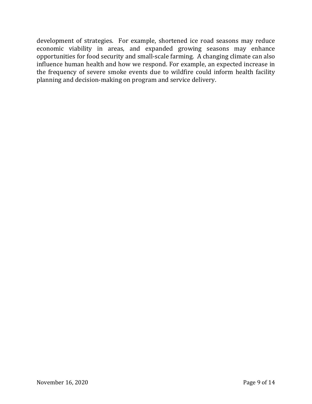development of strategies. For example, shortened ice road seasons may reduce economic viability in areas, and expanded growing seasons may enhance opportunities for food security and small‐scale farming. A changing climate can also influence human health and how we respond. For example, an expected increase in the frequency of severe smoke events due to wildfire could inform health facility planning and decision‐making on program and service delivery.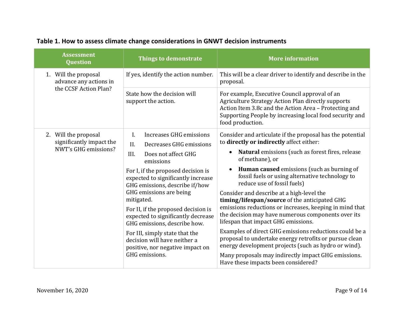| <b>Assessment</b><br><b>Question</b>                                     | Things to demonstrate                                                                                                                                                                                                                                                                                                                                                                                                                                                                                   | <b>More information</b>                                                                                                                                                                                                                                                                                                                                                                                                                                                                                                                                                                                                                                                                                                                                                                                                   |
|--------------------------------------------------------------------------|---------------------------------------------------------------------------------------------------------------------------------------------------------------------------------------------------------------------------------------------------------------------------------------------------------------------------------------------------------------------------------------------------------------------------------------------------------------------------------------------------------|---------------------------------------------------------------------------------------------------------------------------------------------------------------------------------------------------------------------------------------------------------------------------------------------------------------------------------------------------------------------------------------------------------------------------------------------------------------------------------------------------------------------------------------------------------------------------------------------------------------------------------------------------------------------------------------------------------------------------------------------------------------------------------------------------------------------------|
| 1. Will the proposal<br>advance any actions in<br>the CCSF Action Plan?  | If yes, identify the action number.                                                                                                                                                                                                                                                                                                                                                                                                                                                                     | This will be a clear driver to identify and describe in the<br>proposal.                                                                                                                                                                                                                                                                                                                                                                                                                                                                                                                                                                                                                                                                                                                                                  |
|                                                                          | State how the decision will<br>support the action.                                                                                                                                                                                                                                                                                                                                                                                                                                                      | For example, Executive Council approval of an<br>Agriculture Strategy Action Plan directly supports<br>Action Item 3.8c and the Action Area - Protecting and<br>Supporting People by increasing local food security and<br>food production.                                                                                                                                                                                                                                                                                                                                                                                                                                                                                                                                                                               |
| 2. Will the proposal<br>significantly impact the<br>NWT's GHG emissions? | L.<br>Increases GHG emissions<br>Decreases GHG emissions<br>II.<br>III.<br>Does not affect GHG<br>emissions<br>For I, if the proposed decision is<br>expected to significantly increase<br>GHG emissions, describe if/how<br>GHG emissions are being<br>mitigated.<br>For II, if the proposed decision is<br>expected to significantly decrease<br>GHG emissions, describe how.<br>For III, simply state that the<br>decision will have neither a<br>positive, nor negative impact on<br>GHG emissions. | Consider and articulate if the proposal has the potential<br>to directly or indirectly affect either:<br>Natural emissions (such as forest fires, release<br>$\bullet$<br>of methane), or<br><b>Human caused</b> emissions (such as burning of<br>fossil fuels or using alternative technology to<br>reduce use of fossil fuels)<br>Consider and describe at a high-level the<br>timing/lifespan/source of the anticipated GHG<br>emissions reductions or increases, keeping in mind that<br>the decision may have numerous components over its<br>lifespan that impact GHG emissions.<br>Examples of direct GHG emissions reductions could be a<br>proposal to undertake energy retrofits or pursue clean<br>energy development projects (such as hydro or wind).<br>Many proposals may indirectly impact GHG emissions. |

#### **Table 1. How to assess climate change considerations in GNWT decision instruments**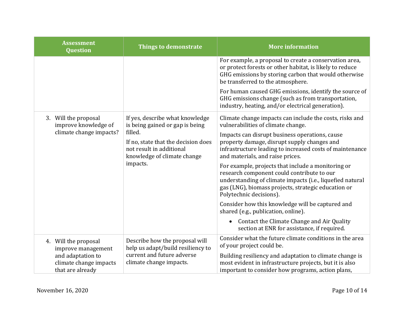| <b>Assessment</b><br><b>Question</b>                                                                          | <b>Things to demonstrate</b>                                                                                                                                                                                    | <b>More information</b>                                                                                                                                                                                                                         |
|---------------------------------------------------------------------------------------------------------------|-----------------------------------------------------------------------------------------------------------------------------------------------------------------------------------------------------------------|-------------------------------------------------------------------------------------------------------------------------------------------------------------------------------------------------------------------------------------------------|
|                                                                                                               | For example, a proposal to create a conservation area,<br>or protect forests or other habitat, is likely to reduce<br>GHG emissions by storing carbon that would otherwise<br>be transferred to the atmosphere. |                                                                                                                                                                                                                                                 |
|                                                                                                               |                                                                                                                                                                                                                 | For human caused GHG emissions, identify the source of<br>GHG emissions change (such as from transportation,<br>industry, heating, and/or electrical generation).                                                                               |
| 3. Will the proposal<br>improve knowledge of<br>climate change impacts?                                       | If yes, describe what knowledge<br>is being gained or gap is being<br>filled.<br>If no, state that the decision does<br>not result in additional<br>knowledge of climate change<br>impacts.                     | Climate change impacts can include the costs, risks and<br>vulnerabilities of climate change.                                                                                                                                                   |
|                                                                                                               |                                                                                                                                                                                                                 | Impacts can disrupt business operations, cause<br>property damage, disrupt supply changes and<br>infrastructure leading to increased costs of maintenance<br>and materials, and raise prices.                                                   |
|                                                                                                               |                                                                                                                                                                                                                 | For example, projects that include a monitoring or<br>research component could contribute to our<br>understanding of climate impacts (i.e., liquefied natural<br>gas (LNG), biomass projects, strategic education or<br>Polytechnic decisions). |
|                                                                                                               |                                                                                                                                                                                                                 | Consider how this knowledge will be captured and<br>shared (e.g., publication, online).                                                                                                                                                         |
|                                                                                                               |                                                                                                                                                                                                                 | Contact the Climate Change and Air Quality<br>section at ENR for assistance, if required.                                                                                                                                                       |
| 4. Will the proposal<br>improve management<br>and adaptation to<br>climate change impacts<br>that are already | Describe how the proposal will<br>help us adapt/build resiliency to<br>current and future adverse<br>climate change impacts.                                                                                    | Consider what the future climate conditions in the area<br>of your project could be.                                                                                                                                                            |
|                                                                                                               |                                                                                                                                                                                                                 | Building resiliency and adaptation to climate change is<br>most evident in infrastructure projects, but it is also<br>important to consider how programs, action plans,                                                                         |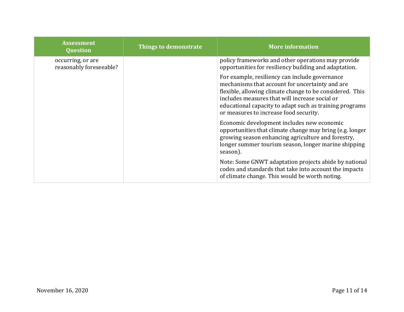| <b>Assessment</b><br><b>Question</b>         | Things to demonstrate | <b>More information</b>                                                                                                                                                                                                                                                                                              |
|----------------------------------------------|-----------------------|----------------------------------------------------------------------------------------------------------------------------------------------------------------------------------------------------------------------------------------------------------------------------------------------------------------------|
| occurring, or are<br>reasonably foreseeable? |                       | policy frameworks and other operations may provide<br>opportunities for resiliency building and adaptation.                                                                                                                                                                                                          |
|                                              |                       | For example, resiliency can include governance<br>mechanisms that account for uncertainty and are<br>flexible, allowing climate change to be considered. This<br>includes measures that will increase social or<br>educational capacity to adapt such as training programs<br>or measures to increase food security. |
|                                              |                       | Economic development includes new economic<br>opportunities that climate change may bring (e.g. longer<br>growing season enhancing agriculture and forestry,<br>longer summer tourism season, longer marine shipping<br>season).                                                                                     |
|                                              |                       | Note: Some GNWT adaptation projects abide by national<br>codes and standards that take into account the impacts<br>of climate change. This would be worth noting.                                                                                                                                                    |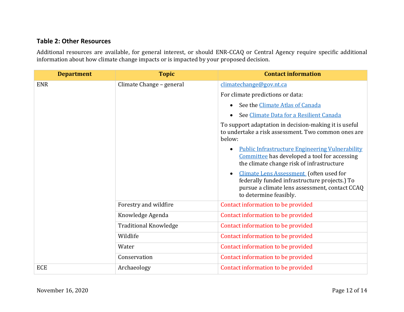#### **Table 2: Other Resources**

Additional resources are available, for general interest, or should ENR‐CCAQ or Central Agency require specific additional information about how climate change impacts or is impacted by your proposed decision.

| <b>Department</b> | <b>Topic</b>                 | <b>Contact information</b>                                                                                                                                           |
|-------------------|------------------------------|----------------------------------------------------------------------------------------------------------------------------------------------------------------------|
| <b>ENR</b>        | Climate Change - general     | climatechange@gov.nt.ca                                                                                                                                              |
|                   |                              | For climate predictions or data:                                                                                                                                     |
|                   |                              | See the Climate Atlas of Canada                                                                                                                                      |
|                   |                              | See Climate Data for a Resilient Canada                                                                                                                              |
|                   |                              | To support adaptation in decision-making it is useful<br>to undertake a risk assessment. Two common ones are<br>below:                                               |
|                   |                              | <b>Public Infrastructure Engineering Vulnerability</b><br>Committee has developed a tool for accessing<br>the climate change risk of infrastructure                  |
|                   |                              | Climate Lens Assessment (often used for<br>federally funded infrastructure projects.) To<br>pursue a climate lens assessment, contact CCAQ<br>to determine feasibly. |
|                   | Forestry and wildfire        | Contact information to be provided                                                                                                                                   |
|                   | Knowledge Agenda             | Contact information to be provided                                                                                                                                   |
|                   | <b>Traditional Knowledge</b> | Contact information to be provided                                                                                                                                   |
|                   | Wildlife                     | Contact information to be provided                                                                                                                                   |
|                   | Water                        | Contact information to be provided                                                                                                                                   |
|                   | Conservation                 | Contact information to be provided                                                                                                                                   |
| <b>ECE</b>        | Archaeology                  | Contact information to be provided                                                                                                                                   |